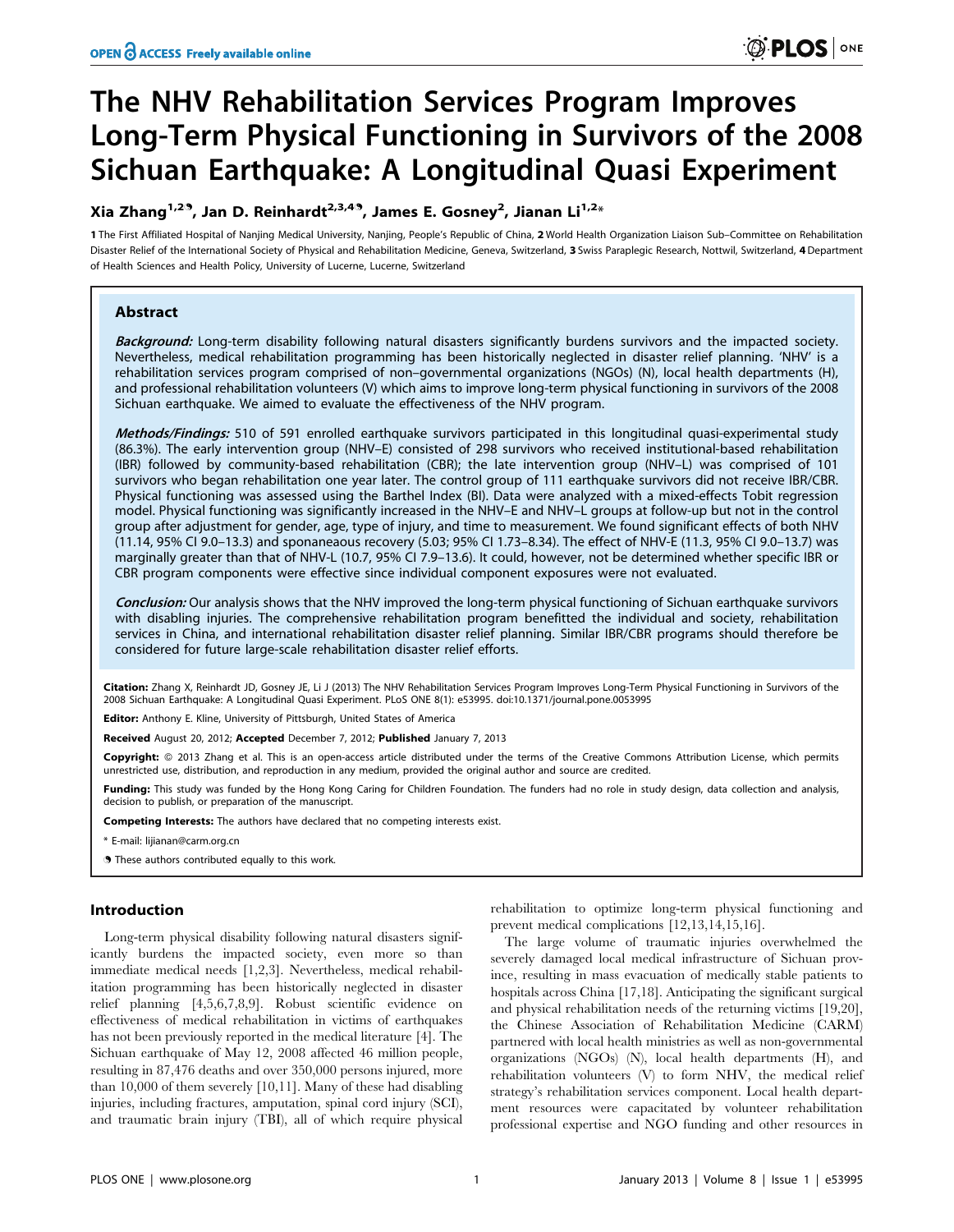# The NHV Rehabilitation Services Program Improves Long-Term Physical Functioning in Survivors of the 2008 Sichuan Earthquake: A Longitudinal Quasi Experiment

# Xia Zhang<sup>1,29</sup>, Jan D. Reinhardt<sup>2,3,49</sup>, James E. Gosney<sup>2</sup>, Jianan Li<sup>1,2</sup>\*

1 The First Affiliated Hospital of Nanjing Medical University, Nanjing, People's Republic of China, 2 World Health Organization Liaison Sub–Committee on Rehabilitation Disaster Relief of the International Society of Physical and Rehabilitation Medicine, Geneva, Switzerland, 3 Swiss Paraplegic Research, Nottwil, Switzerland, 4 Department of Health Sciences and Health Policy, University of Lucerne, Lucerne, Switzerland

# Abstract

Background: Long-term disability following natural disasters significantly burdens survivors and the impacted society. Nevertheless, medical rehabilitation programming has been historically neglected in disaster relief planning. 'NHV' is a rehabilitation services program comprised of non–governmental organizations (NGOs) (N), local health departments (H), and professional rehabilitation volunteers (V) which aims to improve long-term physical functioning in survivors of the 2008 Sichuan earthquake. We aimed to evaluate the effectiveness of the NHV program.

Methods/Findings: 510 of 591 enrolled earthquake survivors participated in this longitudinal quasi-experimental study (86.3%). The early intervention group (NHV–E) consisted of 298 survivors who received institutional-based rehabilitation (IBR) followed by community-based rehabilitation (CBR); the late intervention group (NHV–L) was comprised of 101 survivors who began rehabilitation one year later. The control group of 111 earthquake survivors did not receive IBR/CBR. Physical functioning was assessed using the Barthel Index (BI). Data were analyzed with a mixed-effects Tobit regression model. Physical functioning was significantly increased in the NHV–E and NHV–L groups at follow-up but not in the control group after adjustment for gender, age, type of injury, and time to measurement. We found significant effects of both NHV (11.14, 95% CI 9.0–13.3) and sponaneaous recovery (5.03; 95% CI 1.73–8.34). The effect of NHV-E (11.3, 95% CI 9.0–13.7) was marginally greater than that of NHV-L (10.7, 95% CI 7.9–13.6). It could, however, not be determined whether specific IBR or CBR program components were effective since individual component exposures were not evaluated.

Conclusion: Our analysis shows that the NHV improved the long-term physical functioning of Sichuan earthquake survivors with disabling injuries. The comprehensive rehabilitation program benefitted the individual and society, rehabilitation services in China, and international rehabilitation disaster relief planning. Similar IBR/CBR programs should therefore be considered for future large-scale rehabilitation disaster relief efforts.

Citation: Zhang X, Reinhardt JD, Gosney JE, Li J (2013) The NHV Rehabilitation Services Program Improves Long-Term Physical Functioning in Survivors of the 2008 Sichuan Earthquake: A Longitudinal Quasi Experiment. PLoS ONE 8(1): e53995. doi:10.1371/journal.pone.0053995

Editor: Anthony E. Kline, University of Pittsburgh, United States of America

Received August 20, 2012; Accepted December 7, 2012; Published January 7, 2013

**Copyright:** © 2013 Zhang et al. This is an open-access article distributed under the terms of the Creative Commons Attribution License, which permits unrestricted use, distribution, and reproduction in any medium, provided the original author and source are credited.

Funding: This study was funded by the Hong Kong Caring for Children Foundation. The funders had no role in study design, data collection and analysis, decision to publish, or preparation of the manuscript.

Competing Interests: The authors have declared that no competing interests exist.

\* E-mail: lijianan@carm.org.cn

. These authors contributed equally to this work.

# Introduction

Long-term physical disability following natural disasters significantly burdens the impacted society, even more so than immediate medical needs [1,2,3]. Nevertheless, medical rehabilitation programming has been historically neglected in disaster relief planning [4,5,6,7,8,9]. Robust scientific evidence on effectiveness of medical rehabilitation in victims of earthquakes has not been previously reported in the medical literature [4]. The Sichuan earthquake of May 12, 2008 affected 46 million people, resulting in 87,476 deaths and over 350,000 persons injured, more than 10,000 of them severely [10,11]. Many of these had disabling injuries, including fractures, amputation, spinal cord injury (SCI), and traumatic brain injury (TBI), all of which require physical

rehabilitation to optimize long-term physical functioning and prevent medical complications [12,13,14,15,16].

The large volume of traumatic injuries overwhelmed the severely damaged local medical infrastructure of Sichuan province, resulting in mass evacuation of medically stable patients to hospitals across China [17,18]. Anticipating the significant surgical and physical rehabilitation needs of the returning victims [19,20], the Chinese Association of Rehabilitation Medicine (CARM) partnered with local health ministries as well as non-governmental organizations (NGOs) (N), local health departments (H), and rehabilitation volunteers (V) to form NHV, the medical relief strategy's rehabilitation services component. Local health department resources were capacitated by volunteer rehabilitation professional expertise and NGO funding and other resources in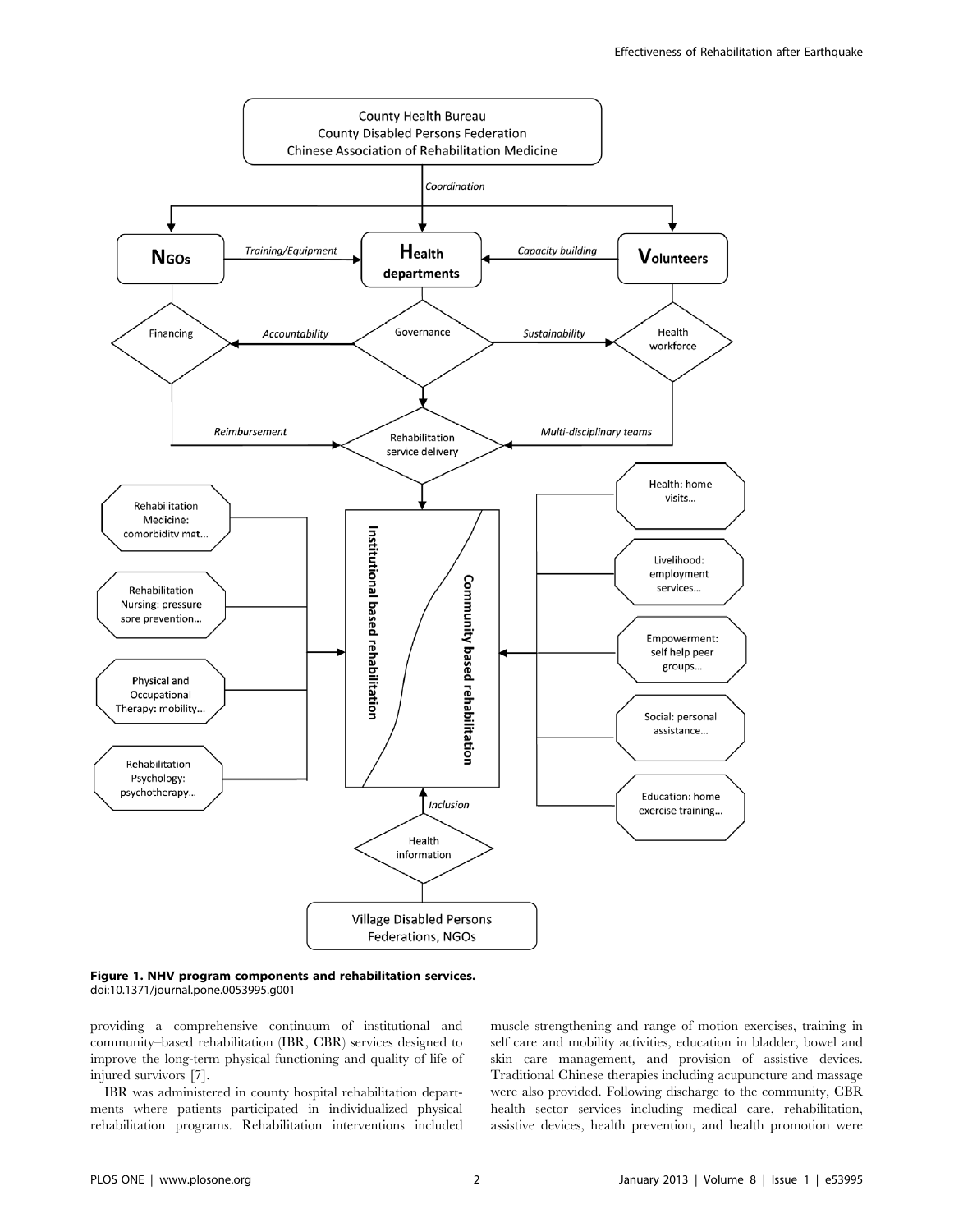

Figure 1. NHV program components and rehabilitation services. doi:10.1371/journal.pone.0053995.g001

providing a comprehensive continuum of institutional and community–based rehabilitation (IBR, CBR) services designed to improve the long-term physical functioning and quality of life of injured survivors [7].

IBR was administered in county hospital rehabilitation departments where patients participated in individualized physical rehabilitation programs. Rehabilitation interventions included muscle strengthening and range of motion exercises, training in self care and mobility activities, education in bladder, bowel and skin care management, and provision of assistive devices. Traditional Chinese therapies including acupuncture and massage were also provided. Following discharge to the community, CBR health sector services including medical care, rehabilitation, assistive devices, health prevention, and health promotion were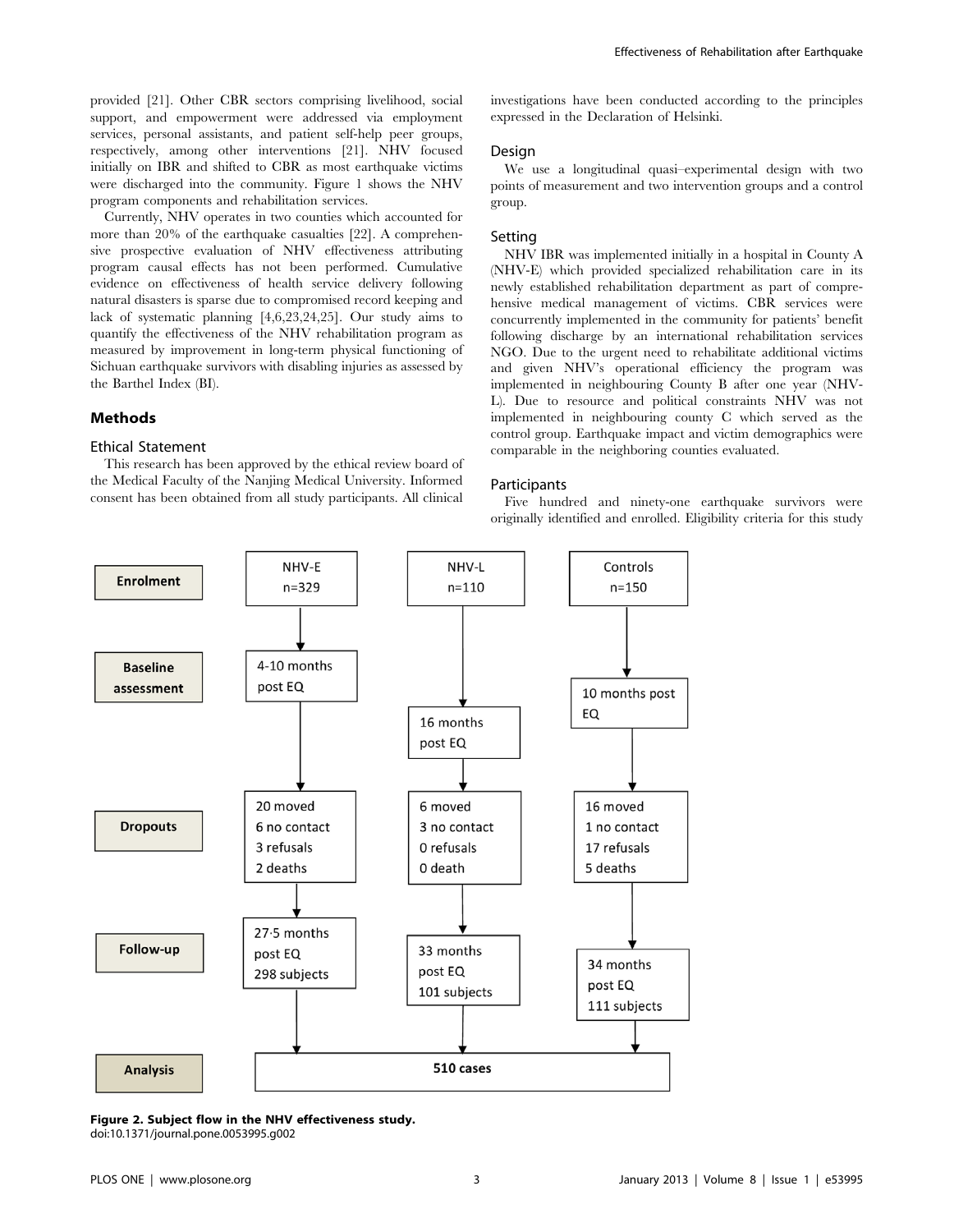provided [21]. Other CBR sectors comprising livelihood, social support, and empowerment were addressed via employment services, personal assistants, and patient self-help peer groups, respectively, among other interventions [21]. NHV focused initially on IBR and shifted to CBR as most earthquake victims were discharged into the community. Figure 1 shows the NHV program components and rehabilitation services.

Currently, NHV operates in two counties which accounted for more than 20% of the earthquake casualties [22]. A comprehensive prospective evaluation of NHV effectiveness attributing program causal effects has not been performed. Cumulative evidence on effectiveness of health service delivery following natural disasters is sparse due to compromised record keeping and lack of systematic planning [4,6,23,24,25]. Our study aims to quantify the effectiveness of the NHV rehabilitation program as measured by improvement in long-term physical functioning of Sichuan earthquake survivors with disabling injuries as assessed by the Barthel Index (BI).

## Methods

#### Ethical Statement

This research has been approved by the ethical review board of the Medical Faculty of the Nanjing Medical University. Informed consent has been obtained from all study participants. All clinical investigations have been conducted according to the principles expressed in the Declaration of Helsinki.

## Design

We use a longitudinal quasi–experimental design with two points of measurement and two intervention groups and a control group.

## Setting

NHV IBR was implemented initially in a hospital in County A (NHV-E) which provided specialized rehabilitation care in its newly established rehabilitation department as part of comprehensive medical management of victims. CBR services were concurrently implemented in the community for patients' benefit following discharge by an international rehabilitation services NGO. Due to the urgent need to rehabilitate additional victims and given NHV's operational efficiency the program was implemented in neighbouring County B after one year (NHV-L). Due to resource and political constraints NHV was not implemented in neighbouring county C which served as the control group. Earthquake impact and victim demographics were comparable in the neighboring counties evaluated.

#### **Participants**

Five hundred and ninety-one earthquake survivors were originally identified and enrolled. Eligibility criteria for this study



Figure 2. Subject flow in the NHV effectiveness study. doi:10.1371/journal.pone.0053995.g002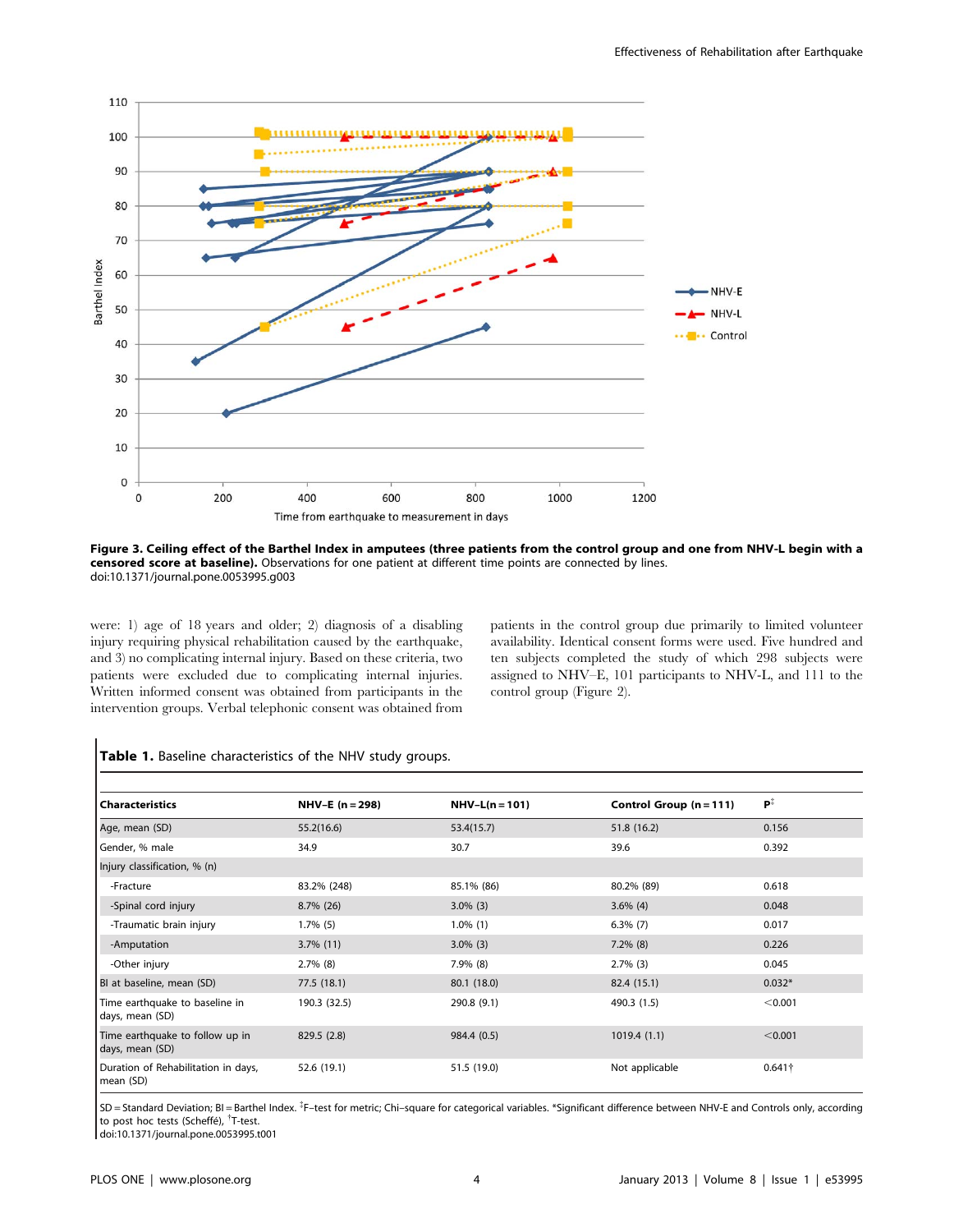

Figure 3. Ceiling effect of the Barthel Index in amputees (three patients from the control group and one from NHV-L begin with a censored score at baseline). Observations for one patient at different time points are connected by lines. doi:10.1371/journal.pone.0053995.g003

were: 1) age of 18 years and older; 2) diagnosis of a disabling injury requiring physical rehabilitation caused by the earthquake, and 3) no complicating internal injury. Based on these criteria, two patients were excluded due to complicating internal injuries. Written informed consent was obtained from participants in the intervention groups. Verbal telephonic consent was obtained from patients in the control group due primarily to limited volunteer availability. Identical consent forms were used. Five hundred and ten subjects completed the study of which 298 subjects were assigned to NHV–E, 101 participants to NHV-L, and 111 to the control group (Figure 2).

| <b>Characteristics</b>                             | NHV-E (n = 298) | $NHV-L(n = 101)$ | Control Group (n = 111) | ₽÷             |  |  |  |
|----------------------------------------------------|-----------------|------------------|-------------------------|----------------|--|--|--|
| Age, mean (SD)                                     | 55.2(16.6)      | 53.4(15.7)       | 51.8 (16.2)             | 0.156          |  |  |  |
| Gender, % male                                     | 34.9            | 30.7             | 39.6                    | 0.392          |  |  |  |
| Injury classification, % (n)                       |                 |                  |                         |                |  |  |  |
| -Fracture                                          | 83.2% (248)     | 85.1% (86)       | 80.2% (89)              | 0.618          |  |  |  |
| -Spinal cord injury                                | $8.7\%$ (26)    | $3.0\%$ (3)      | $3.6\%$ (4)             | 0.048          |  |  |  |
| -Traumatic brain injury                            | $1.7\%$ (5)     | $1.0\%$ (1)      | $6.3\%$ (7)             | 0.017          |  |  |  |
| -Amputation                                        | $3.7\%$ (11)    | $3.0\%$ (3)      | $7.2\%$ (8)             | 0.226          |  |  |  |
| -Other injury                                      | $2.7\%$ (8)     | $7.9\%$ (8)      | $2.7\%$ (3)             | 0.045          |  |  |  |
| BI at baseline, mean (SD)                          | 77.5(18.1)      | 80.1 (18.0)      | 82.4 (15.1)             | $0.032*$       |  |  |  |
| Time earthquake to baseline in<br>days, mean (SD)  | 190.3 (32.5)    | 290.8 (9.1)      | 490.3 (1.5)             | < 0.001        |  |  |  |
| Time earthquake to follow up in<br>days, mean (SD) | 829.5(2.8)      | 984.4 (0.5)      | 1019.4(1.1)             | < 0.001        |  |  |  |
| Duration of Rehabilitation in days,<br>mean (SD)   | 52.6 (19.1)     | 51.5 (19.0)      | Not applicable          | $0.641\dagger$ |  |  |  |

Table 1. Baseline characteristics of the NHV study groups.

SD = Standard Deviation; BI = Barthel Index. <sup>‡</sup>F-test for metric; Chi–square for categorical variables. \*Significant difference between NHV-E and Controls only, according to post hoc tests (Scheffé), <sup>†</sup>T-test.

doi:10.1371/journal.pone.0053995.t001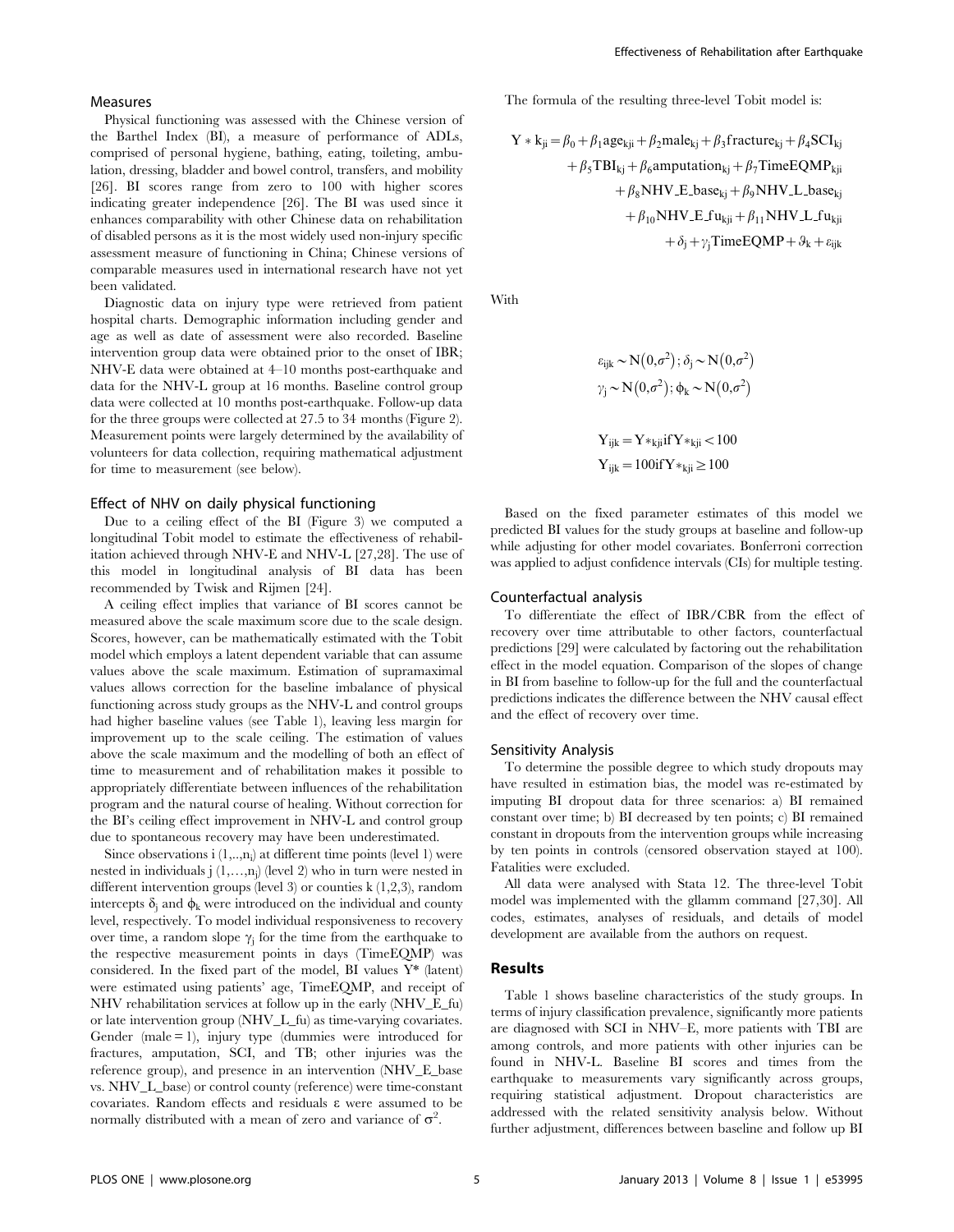#### Measures

Physical functioning was assessed with the Chinese version of the Barthel Index (BI), a measure of performance of ADLs, comprised of personal hygiene, bathing, eating, toileting, ambulation, dressing, bladder and bowel control, transfers, and mobility [26]. BI scores range from zero to 100 with higher scores indicating greater independence [26]. The BI was used since it enhances comparability with other Chinese data on rehabilitation of disabled persons as it is the most widely used non-injury specific assessment measure of functioning in China; Chinese versions of comparable measures used in international research have not yet been validated.

Diagnostic data on injury type were retrieved from patient hospital charts. Demographic information including gender and age as well as date of assessment were also recorded. Baseline intervention group data were obtained prior to the onset of IBR; NHV-E data were obtained at 4–10 months post-earthquake and data for the NHV-L group at 16 months. Baseline control group data were collected at 10 months post-earthquake. Follow-up data for the three groups were collected at 27.5 to 34 months (Figure 2). Measurement points were largely determined by the availability of volunteers for data collection, requiring mathematical adjustment for time to measurement (see below).

#### Effect of NHV on daily physical functioning

Due to a ceiling effect of the BI (Figure 3) we computed a longitudinal Tobit model to estimate the effectiveness of rehabilitation achieved through NHV-E and NHV-L [27,28]. The use of this model in longitudinal analysis of BI data has been recommended by Twisk and Rijmen [24].

A ceiling effect implies that variance of BI scores cannot be measured above the scale maximum score due to the scale design. Scores, however, can be mathematically estimated with the Tobit model which employs a latent dependent variable that can assume values above the scale maximum. Estimation of supramaximal values allows correction for the baseline imbalance of physical functioning across study groups as the NHV-L and control groups had higher baseline values (see Table 1), leaving less margin for improvement up to the scale ceiling. The estimation of values above the scale maximum and the modelling of both an effect of time to measurement and of rehabilitation makes it possible to appropriately differentiate between influences of the rehabilitation program and the natural course of healing. Without correction for the BI's ceiling effect improvement in NHV-L and control group due to spontaneous recovery may have been underestimated.

Since observations  $i(1, ..., n_i)$  at different time points (level 1) were nested in individuals j (1,…,nj ) (level 2) who in turn were nested in different intervention groups (level 3) or counties k (1,2,3), random intercepts  $\delta_i$  and  $\phi_k$  were introduced on the individual and county level, respectively. To model individual responsiveness to recovery over time, a random slope  $\gamma_i$  for the time from the earthquake to the respective measurement points in days (TimeEQMP) was considered. In the fixed part of the model, BI values Y\* (latent) were estimated using patients' age, TimeEQMP, and receipt of NHV rehabilitation services at follow up in the early (NHV\_E\_fu) or late intervention group (NHV\_L\_fu) as time-varying covariates. Gender (male = 1), injury type (dummies were introduced for fractures, amputation, SCI, and TB; other injuries was the reference group), and presence in an intervention (NHV\_E\_base vs. NHV\_L\_base) or control county (reference) were time-constant covariates. Random effects and residuals e were assumed to be normally distributed with a mean of zero and variance of  $\sigma^2$ .

The formula of the resulting three-level Tobit model is:

$$
\begin{aligned} Y\ast k_{ji} = \beta_0 + \beta_1 age_{kji} + \beta_2 male_{kj} + \beta_3 fracture_{kj} + \beta_4 SCI_{kj} \\ + \beta_5 TBI_{kj} + \beta_6 amputation_{kj} + \beta_7 TimeEQMP_{kji} \\ + \beta_8 NHV\_E\_base_{kj} + \beta_9 NHV\_L\_base_{kj} \\ + \beta_{10} NHV\_E\_fu_{kji} + \beta_{11} NHV\_L\_fu_{kji} \\ + \delta_j + \gamma_j TimeEQMP + \beta_k + \varepsilon_{ijk} \end{aligned}
$$

With

$$
\varepsilon_{ijk} \sim N(0, \sigma^2); \delta_j \sim N(0, \sigma^2)
$$
  

$$
\gamma_j \sim N(0, \sigma^2); \phi_k \sim N(0, \sigma^2)
$$
  

$$
Y_{ijk} = Y *_{kji} \text{if } Y *_{kji} < 100
$$
  

$$
Y_{ijk} = 100 \text{if } Y *_{kji} \ge 100
$$

Based on the fixed parameter estimates of this model we predicted BI values for the study groups at baseline and follow-up while adjusting for other model covariates. Bonferroni correction was applied to adjust confidence intervals (CIs) for multiple testing.

#### Counterfactual analysis

To differentiate the effect of IBR/CBR from the effect of recovery over time attributable to other factors, counterfactual predictions [29] were calculated by factoring out the rehabilitation effect in the model equation. Comparison of the slopes of change in BI from baseline to follow-up for the full and the counterfactual predictions indicates the difference between the NHV causal effect and the effect of recovery over time.

#### Sensitivity Analysis

To determine the possible degree to which study dropouts may have resulted in estimation bias, the model was re-estimated by imputing BI dropout data for three scenarios: a) BI remained constant over time; b) BI decreased by ten points; c) BI remained constant in dropouts from the intervention groups while increasing by ten points in controls (censored observation stayed at 100). Fatalities were excluded.

All data were analysed with Stata 12. The three-level Tobit model was implemented with the gllamm command [27,30]. All codes, estimates, analyses of residuals, and details of model development are available from the authors on request.

## Results

Table 1 shows baseline characteristics of the study groups. In terms of injury classification prevalence, significantly more patients are diagnosed with SCI in NHV–E, more patients with TBI are among controls, and more patients with other injuries can be found in NHV-L. Baseline BI scores and times from the earthquake to measurements vary significantly across groups, requiring statistical adjustment. Dropout characteristics are addressed with the related sensitivity analysis below. Without further adjustment, differences between baseline and follow up BI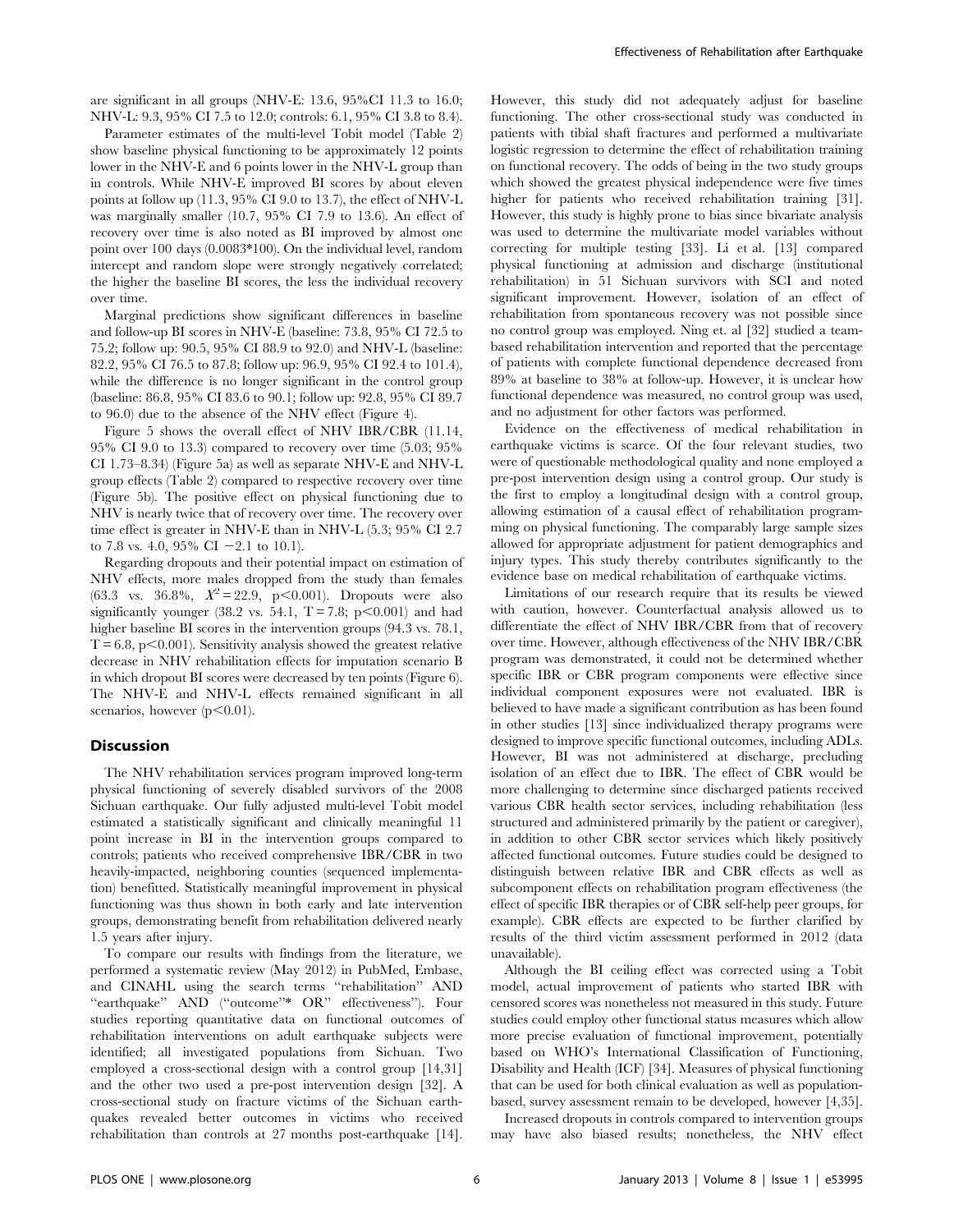are significant in all groups (NHV-E: 13.6, 95%CI 11.3 to 16.0; NHV-L: 9.3, 95% CI 7.5 to 12.0; controls: 6.1, 95% CI 3.8 to 8.4).

Parameter estimates of the multi-level Tobit model (Table 2) show baseline physical functioning to be approximately 12 points lower in the NHV-E and 6 points lower in the NHV-L group than in controls. While NHV-E improved BI scores by about eleven points at follow up (11.3, 95% CI 9.0 to 13.7), the effect of NHV-L was marginally smaller (10.7, 95% CI 7.9 to 13.6). An effect of recovery over time is also noted as BI improved by almost one point over 100 days (0.0083\*100). On the individual level, random intercept and random slope were strongly negatively correlated; the higher the baseline BI scores, the less the individual recovery over time.

Marginal predictions show significant differences in baseline and follow-up BI scores in NHV-E (baseline: 73.8, 95% CI 72.5 to 75.2; follow up: 90.5, 95% CI 88.9 to 92.0) and NHV-L (baseline: 82.2, 95% CI 76.5 to 87.8; follow up: 96.9, 95% CI 92.4 to 101.4), while the difference is no longer significant in the control group (baseline: 86.8, 95% CI 83.6 to 90.1; follow up: 92.8, 95% CI 89.7 to 96.0) due to the absence of the NHV effect (Figure 4).

Figure 5 shows the overall effect of NHV IBR/CBR (11.14, 95% CI 9.0 to 13.3) compared to recovery over time (5.03; 95% CI 1.73–8.34) (Figure 5a) as well as separate NHV-E and NHV-L group effects (Table 2) compared to respective recovery over time (Figure 5b). The positive effect on physical functioning due to NHV is nearly twice that of recovery over time. The recovery over time effect is greater in NHV-E than in NHV-L (5.3; 95% CI 2.7 to 7.8 vs. 4.0, 95% CI  $-2.1$  to 10.1).

Regarding dropouts and their potential impact on estimation of NHV effects, more males dropped from the study than females (63.3 vs. 36.8%,  $X^2 = 22.9$ , p<0.001). Dropouts were also significantly younger (38.2 vs. 54.1,  $T = 7.8$ ; p $\leq 0.001$ ) and had higher baseline BI scores in the intervention groups  $(94.3 \text{ vs. } 78.1,$  $T = 6.8$ , p $\leq 0.001$ ). Sensitivity analysis showed the greatest relative decrease in NHV rehabilitation effects for imputation scenario B in which dropout BI scores were decreased by ten points (Figure 6). The NHV-E and NHV-L effects remained significant in all scenarios, however  $(p<0.01)$ .

#### **Discussion**

The NHV rehabilitation services program improved long-term physical functioning of severely disabled survivors of the 2008 Sichuan earthquake. Our fully adjusted multi-level Tobit model estimated a statistically significant and clinically meaningful 11 point increase in BI in the intervention groups compared to controls; patients who received comprehensive IBR/CBR in two heavily-impacted, neighboring counties (sequenced implementation) benefitted. Statistically meaningful improvement in physical functioning was thus shown in both early and late intervention groups, demonstrating benefit from rehabilitation delivered nearly 1.5 years after injury.

To compare our results with findings from the literature, we performed a systematic review (May 2012) in PubMed, Embase, and CINAHL using the search terms ''rehabilitation'' AND "earthquake" AND ("outcome"\* OR" effectiveness"). Four studies reporting quantitative data on functional outcomes of rehabilitation interventions on adult earthquake subjects were identified; all investigated populations from Sichuan. Two employed a cross-sectional design with a control group [14,31] and the other two used a pre-post intervention design [32]. A cross-sectional study on fracture victims of the Sichuan earthquakes revealed better outcomes in victims who received rehabilitation than controls at 27 months post-earthquake [14].

However, this study did not adequately adjust for baseline functioning. The other cross-sectional study was conducted in patients with tibial shaft fractures and performed a multivariate logistic regression to determine the effect of rehabilitation training on functional recovery. The odds of being in the two study groups which showed the greatest physical independence were five times higher for patients who received rehabilitation training [31]. However, this study is highly prone to bias since bivariate analysis was used to determine the multivariate model variables without correcting for multiple testing [33]. Li et al. [13] compared physical functioning at admission and discharge (institutional rehabilitation) in 51 Sichuan survivors with SCI and noted significant improvement. However, isolation of an effect of rehabilitation from spontaneous recovery was not possible since no control group was employed. Ning et. al [32] studied a teambased rehabilitation intervention and reported that the percentage of patients with complete functional dependence decreased from 89% at baseline to 38% at follow-up. However, it is unclear how functional dependence was measured, no control group was used, and no adjustment for other factors was performed.

Evidence on the effectiveness of medical rehabilitation in earthquake victims is scarce. Of the four relevant studies, two were of questionable methodological quality and none employed a pre-post intervention design using a control group. Our study is the first to employ a longitudinal design with a control group, allowing estimation of a causal effect of rehabilitation programming on physical functioning. The comparably large sample sizes allowed for appropriate adjustment for patient demographics and injury types. This study thereby contributes significantly to the evidence base on medical rehabilitation of earthquake victims.

Limitations of our research require that its results be viewed with caution, however. Counterfactual analysis allowed us to differentiate the effect of NHV IBR/CBR from that of recovery over time. However, although effectiveness of the NHV IBR/CBR program was demonstrated, it could not be determined whether specific IBR or CBR program components were effective since individual component exposures were not evaluated. IBR is believed to have made a significant contribution as has been found in other studies [13] since individualized therapy programs were designed to improve specific functional outcomes, including ADLs. However, BI was not administered at discharge, precluding isolation of an effect due to IBR. The effect of CBR would be more challenging to determine since discharged patients received various CBR health sector services, including rehabilitation (less structured and administered primarily by the patient or caregiver), in addition to other CBR sector services which likely positively affected functional outcomes. Future studies could be designed to distinguish between relative IBR and CBR effects as well as subcomponent effects on rehabilitation program effectiveness (the effect of specific IBR therapies or of CBR self-help peer groups, for example). CBR effects are expected to be further clarified by results of the third victim assessment performed in 2012 (data unavailable).

Although the BI ceiling effect was corrected using a Tobit model, actual improvement of patients who started IBR with censored scores was nonetheless not measured in this study. Future studies could employ other functional status measures which allow more precise evaluation of functional improvement, potentially based on WHO's International Classification of Functioning, Disability and Health (ICF) [34]. Measures of physical functioning that can be used for both clinical evaluation as well as populationbased, survey assessment remain to be developed, however [4,35].

Increased dropouts in controls compared to intervention groups may have also biased results; nonetheless, the NHV effect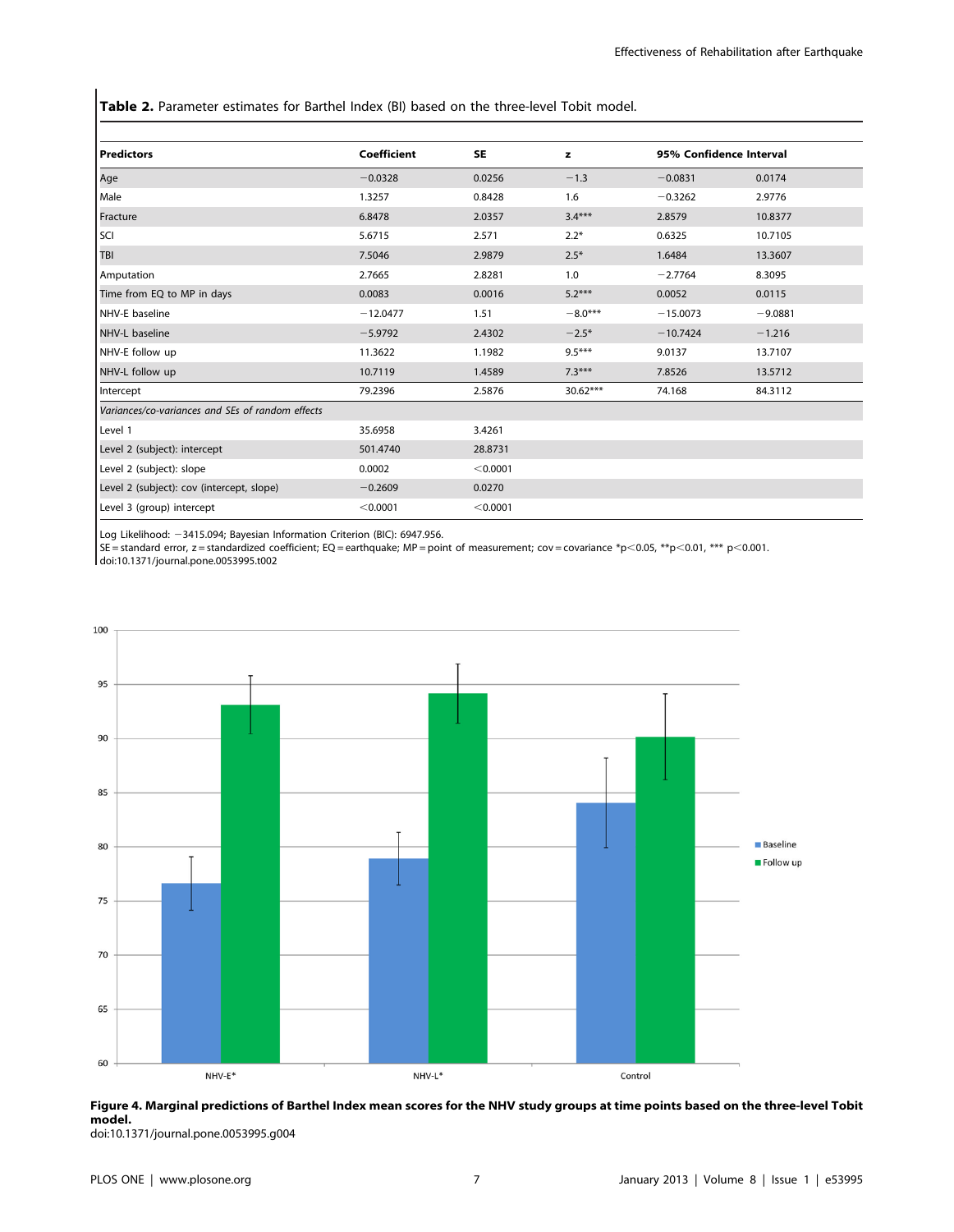Table 2. Parameter estimates for Barthel Index (BI) based on the three-level Tobit model.

| l Predictors                                     | Coefficient | SE       | z          | 95% Confidence Interval |           |  |  |  |
|--------------------------------------------------|-------------|----------|------------|-------------------------|-----------|--|--|--|
| Age                                              | $-0.0328$   | 0.0256   | $-1.3$     | $-0.0831$               | 0.0174    |  |  |  |
| Male                                             | 1.3257      | 0.8428   | 1.6        | $-0.3262$               | 2.9776    |  |  |  |
| Fracture                                         | 6.8478      | 2.0357   | $3.4***$   | 2.8579                  | 10.8377   |  |  |  |
| SCI                                              | 5.6715      | 2.571    | $2.2*$     | 0.6325                  | 10.7105   |  |  |  |
| TBI                                              | 7.5046      | 2.9879   | $2.5*$     | 1.6484                  | 13.3607   |  |  |  |
| Amputation                                       | 2.7665      | 2.8281   | 1.0        | $-2.7764$               | 8.3095    |  |  |  |
| Time from EQ to MP in days                       | 0.0083      | 0.0016   | $5.2***$   | 0.0052                  | 0.0115    |  |  |  |
| NHV-E baseline                                   | $-12.0477$  | 1.51     | $-8.0***$  | $-15.0073$              | $-9.0881$ |  |  |  |
| NHV-L baseline                                   | $-5.9792$   | 2.4302   | $-2.5*$    | $-10.7424$              | $-1.216$  |  |  |  |
| NHV-E follow up                                  | 11.3622     | 1.1982   | $9.5***$   | 9.0137                  | 13.7107   |  |  |  |
| NHV-L follow up                                  | 10.7119     | 1.4589   | $7.3***$   | 7.8526                  | 13.5712   |  |  |  |
| Intercept                                        | 79.2396     | 2.5876   | $30.62***$ | 74.168                  | 84.3112   |  |  |  |
| Variances/co-variances and SEs of random effects |             |          |            |                         |           |  |  |  |
| Level 1                                          | 35.6958     | 3.4261   |            |                         |           |  |  |  |
| Level 2 (subject): intercept                     | 501.4740    | 28.8731  |            |                         |           |  |  |  |
| Level 2 (subject): slope                         | 0.0002      | < 0.0001 |            |                         |           |  |  |  |
| Level 2 (subject): cov (intercept, slope)        | $-0.2609$   | 0.0270   |            |                         |           |  |  |  |
| Level 3 (group) intercept                        | < 0.0001    | < 0.0001 |            |                         |           |  |  |  |

Log Likelihood: -3415.094; Bayesian Information Criterion (BIC): 6947.956.

SE = standard error, z = standardized coefficient; EQ = earthquake; MP = point of measurement; cov = covariance \*p<0.05, \*\*p<0.01, \*\*\* p<0.001. doi:10.1371/journal.pone.0053995.t002





doi:10.1371/journal.pone.0053995.g004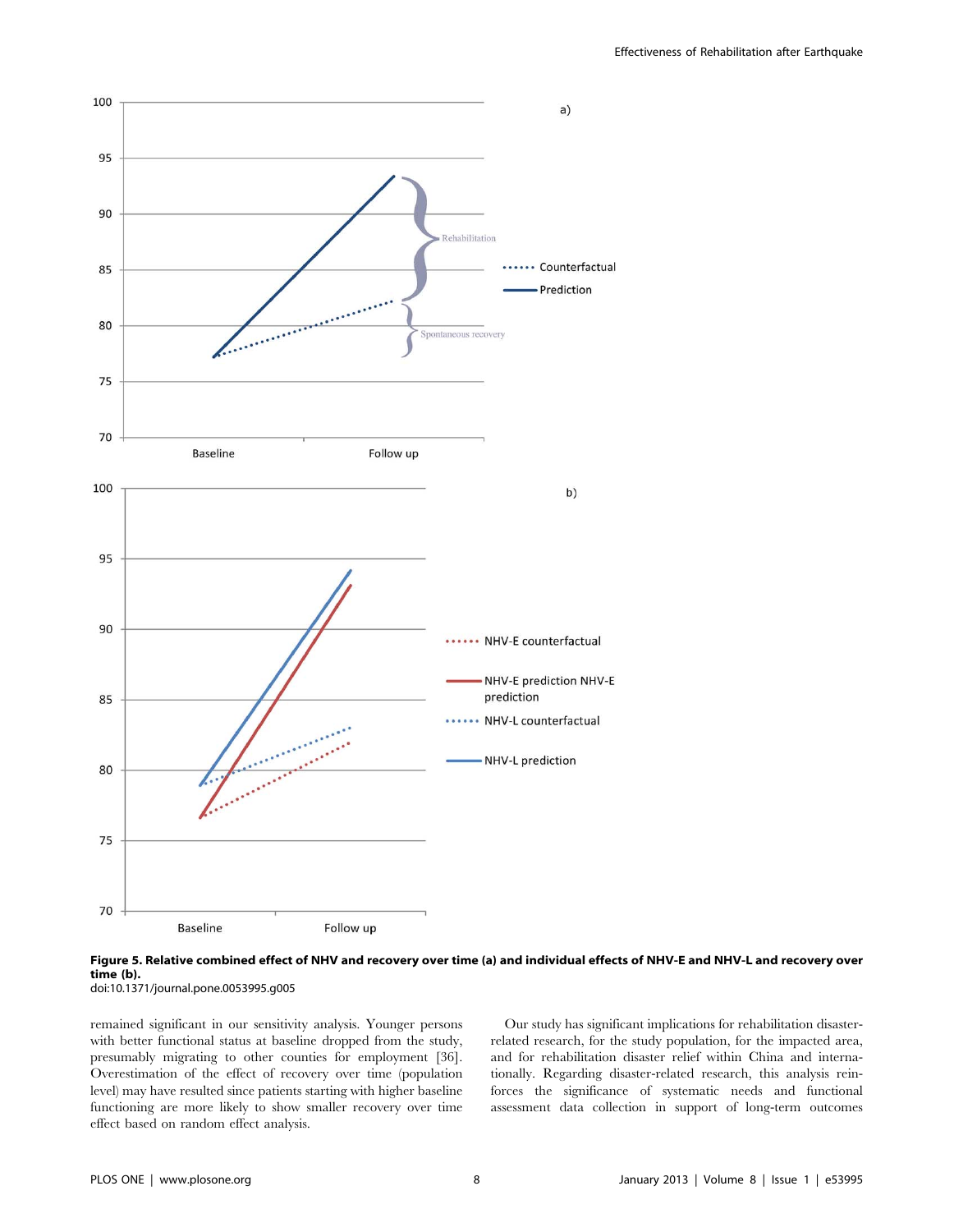

# Figure 5. Relative combined effect of NHV and recovery over time (a) and individual effects of NHV-E and NHV-L and recovery over time (b).

doi:10.1371/journal.pone.0053995.g005

remained significant in our sensitivity analysis. Younger persons with better functional status at baseline dropped from the study, presumably migrating to other counties for employment [36]. Overestimation of the effect of recovery over time (population level) may have resulted since patients starting with higher baseline functioning are more likely to show smaller recovery over time effect based on random effect analysis.

Our study has significant implications for rehabilitation disasterrelated research, for the study population, for the impacted area, and for rehabilitation disaster relief within China and internationally. Regarding disaster-related research, this analysis reinforces the significance of systematic needs and functional assessment data collection in support of long-term outcomes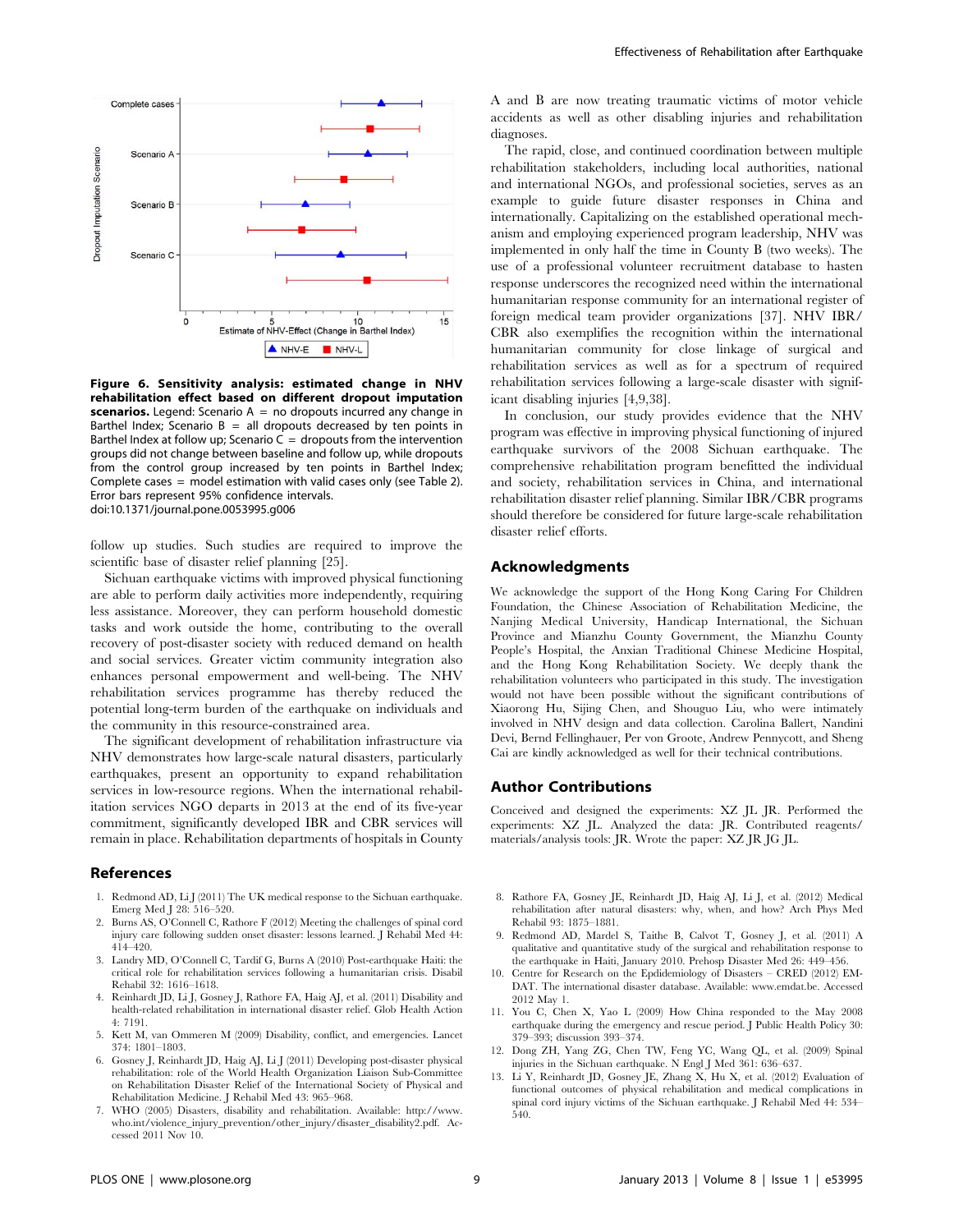

Figure 6. Sensitivity analysis: estimated change in NHV rehabilitation effect based on different dropout imputation **scenarios.** Legend: Scenario  $A = no$  dropouts incurred any change in Barthel Index; Scenario  $B = all$  dropouts decreased by ten points in Barthel Index at follow up; Scenario  $C =$  dropouts from the intervention groups did not change between baseline and follow up, while dropouts from the control group increased by ten points in Barthel Index; Complete cases = model estimation with valid cases only (see Table 2). Error bars represent 95% confidence intervals. doi:10.1371/journal.pone.0053995.g006

follow up studies. Such studies are required to improve the scientific base of disaster relief planning [25].

Sichuan earthquake victims with improved physical functioning are able to perform daily activities more independently, requiring less assistance. Moreover, they can perform household domestic tasks and work outside the home, contributing to the overall recovery of post-disaster society with reduced demand on health and social services. Greater victim community integration also enhances personal empowerment and well-being. The NHV rehabilitation services programme has thereby reduced the potential long-term burden of the earthquake on individuals and the community in this resource-constrained area.

The significant development of rehabilitation infrastructure via NHV demonstrates how large-scale natural disasters, particularly earthquakes, present an opportunity to expand rehabilitation services in low-resource regions. When the international rehabilitation services NGO departs in 2013 at the end of its five-year commitment, significantly developed IBR and CBR services will remain in place. Rehabilitation departments of hospitals in County

#### References

- 1. Redmond AD, Li J (2011) The UK medical response to the Sichuan earthquake. Emerg Med J 28: 516–520.
- 2. Burns AS, O'Connell C, Rathore F (2012) Meeting the challenges of spinal cord injury care following sudden onset disaster: lessons learned. J Rehabil Med 44: 414–420.
- 3. Landry MD, O'Connell C, Tardif G, Burns A (2010) Post-earthquake Haiti: the critical role for rehabilitation services following a humanitarian crisis. Disabil Rehabil 32: 1616–1618.
- 4. Reinhardt JD, Li J, Gosney J, Rathore FA, Haig AJ, et al. (2011) Disability and health-related rehabilitation in international disaster relief. Glob Health Action 4: 7191.
- 5. Kett M, van Ommeren M (2009) Disability, conflict, and emergencies. Lancet 374: 1801–1803.
- 6. Gosney J, Reinhardt JD, Haig AJ, Li J (2011) Developing post-disaster physical rehabilitation: role of the World Health Organization Liaison Sub-Committee on Rehabilitation Disaster Relief of the International Society of Physical and Rehabilitation Medicine. J Rehabil Med 43: 965–968.
- 7. WHO (2005) Disasters, disability and rehabilitation. Available: http://www. who.int/violence\_injury\_prevention/other\_injury/disaster\_disability2.pdf. Accessed 2011 Nov 10.

A and B are now treating traumatic victims of motor vehicle accidents as well as other disabling injuries and rehabilitation diagnoses.

The rapid, close, and continued coordination between multiple rehabilitation stakeholders, including local authorities, national and international NGOs, and professional societies, serves as an example to guide future disaster responses in China and internationally. Capitalizing on the established operational mechanism and employing experienced program leadership, NHV was implemented in only half the time in County B (two weeks). The use of a professional volunteer recruitment database to hasten response underscores the recognized need within the international humanitarian response community for an international register of foreign medical team provider organizations [37]. NHV IBR/ CBR also exemplifies the recognition within the international humanitarian community for close linkage of surgical and rehabilitation services as well as for a spectrum of required rehabilitation services following a large-scale disaster with significant disabling injuries [4,9,38].

In conclusion, our study provides evidence that the NHV program was effective in improving physical functioning of injured earthquake survivors of the 2008 Sichuan earthquake. The comprehensive rehabilitation program benefitted the individual and society, rehabilitation services in China, and international rehabilitation disaster relief planning. Similar IBR/CBR programs should therefore be considered for future large-scale rehabilitation disaster relief efforts.

## Acknowledgments

We acknowledge the support of the Hong Kong Caring For Children Foundation, the Chinese Association of Rehabilitation Medicine, the Nanjing Medical University, Handicap International, the Sichuan Province and Mianzhu County Government, the Mianzhu County People's Hospital, the Anxian Traditional Chinese Medicine Hospital, and the Hong Kong Rehabilitation Society. We deeply thank the rehabilitation volunteers who participated in this study. The investigation would not have been possible without the significant contributions of Xiaorong Hu, Sijing Chen, and Shouguo Liu, who were intimately involved in NHV design and data collection. Carolina Ballert, Nandini Devi, Bernd Fellinghauer, Per von Groote, Andrew Pennycott, and Sheng Cai are kindly acknowledged as well for their technical contributions.

#### Author Contributions

Conceived and designed the experiments: XZ JL JR. Performed the experiments: XZ JL. Analyzed the data: JR. Contributed reagents/ materials/analysis tools: JR. Wrote the paper: XZ JR JG JL.

- 8. Rathore FA, Gosney JE, Reinhardt JD, Haig AJ, Li J, et al. (2012) Medical rehabilitation after natural disasters: why, when, and how? Arch Phys Med Rehabil 93: 1875–1881.
- 9. Redmond AD, Mardel S, Taithe B, Calvot T, Gosney J, et al. (2011) A qualitative and quantitative study of the surgical and rehabilitation response to the earthquake in Haiti, January 2010. Prehosp Disaster Med 26: 449–456.
- 10. Centre for Research on the Epdidemiology of Disasters CRED (2012) EM-DAT. The international disaster database. Available: www.emdat.be. Accessed 2012 May 1.
- 11. You C, Chen X, Yao L (2009) How China responded to the May 2008 earthquake during the emergency and rescue period. J Public Health Policy 30: 379–393; discussion 393–374.
- 12. Dong ZH, Yang ZG, Chen TW, Feng YC, Wang QL, et al. (2009) Spinal injuries in the Sichuan earthquake. N Engl J Med 361: 636–637.
- 13. Li Y, Reinhardt JD, Gosney JE, Zhang X, Hu X, et al. (2012) Evaluation of functional outcomes of physical rehabilitation and medical complications in spinal cord injury victims of the Sichuan earthquake. J Rehabil Med 44: 534– 540.